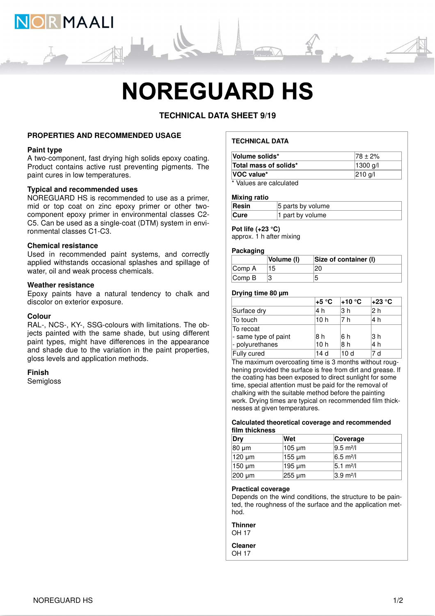

# **NOREGUARD HS**

# **TECHNICAL DATA SHEET 9/19**

## **PROPERTIES AND RECOMMENDED USAGE**

#### **Paint type**

A two-component, fast drying high solids epoxy coating. Product contains active rust preventing pigments. The paint cures in low temperatures.

# **Typical and recommended uses**

NOREGUARD HS is recommended to use as a primer, mid or top coat on zinc epoxy primer or other twocomponent epoxy primer in environmental classes C2- C5. Can be used as a single-coat (DTM) system in environmental classes C1-C3.

#### **Chemical resistance**

Used in recommended paint systems, and correctly applied withstands occasional splashes and spillage of water, oil and weak process chemicals.

## **Weather resistance**

Epoxy paints have a natural tendency to chalk and discolor on exterior exposure.

#### **Colour**

RAL-, NCS-, KY-, SSG-colours with limitations. The objects painted with the same shade, but using different paint types, might have differences in the appearance and shade due to the variation in the paint properties, gloss levels and application methods.

#### **Finish**

**Semigloss** 

# **TECHNICAL DATA**

| Volume solids*                | $178 \pm 2\%$ |
|-------------------------------|---------------|
| Total mass of solids*         | 1300 g/l      |
| VOC value*                    | 210 g/l       |
| * Malera a and a alardiate di |               |

Values are calculated

#### **Mixing ratio**

| Resin       | 5 parts by volume |
|-------------|-------------------|
| <b>Cure</b> | 1 part by volume  |

# **Pot life (+23 °C)**

approx. 1 h after mixing

# **Packaging**

|                             | Volume (I) | Size of container (I) |
|-----------------------------|------------|-----------------------|
| $\mathsf{Comp}\,\mathsf{A}$ | 15         |                       |
| $\mathsf{Comp}\,\mathsf{B}$ |            |                       |

#### **Drying time 80 µm**

|                                   | +5 °C           | l+10 °C | l+23 °C |
|-----------------------------------|-----------------|---------|---------|
| Surface dry                       | 4 h             | l3 h    | 12 h    |
| To touch                          | 10h             | 7 h     | 4 h     |
| To recoat<br>- same type of paint | 18 h            | 16 h    | l3 h    |
| - polyurethanes                   | 10 <sub>h</sub> | 18 h    | l4 h    |
| Fully cured                       | 14 d            | 10 d    | 7 d     |

The maximum overcoating time is 3 months without roughening provided the surface is free from dirt and grease. If the coating has been exposed to direct sunlight for some time, special attention must be paid for the removal of chalking with the suitable method before the painting work. Drying times are typical on recommended film thicknesses at given temperatures.

#### **Calculated theoretical coverage and recommended film thickness**

| Dry    | Wet    | Coverage            |
|--------|--------|---------------------|
| 80 µm  | 105 µm | $9.5 \text{ m}^2$ / |
| 120 µm | 155 µm | $6.5 \text{ m}^2$ / |
| 150 µm | 195 µm | $ 5.1 \text{ m}^2 $ |
| 200 µm | 255 µm | $ 3.9 \text{ m}^2 $ |

#### **Practical coverage**

Depends on the wind conditions, the structure to be painted, the roughness of the surface and the application method.

**Thinner** OH 17

**Cleaner** OH 17